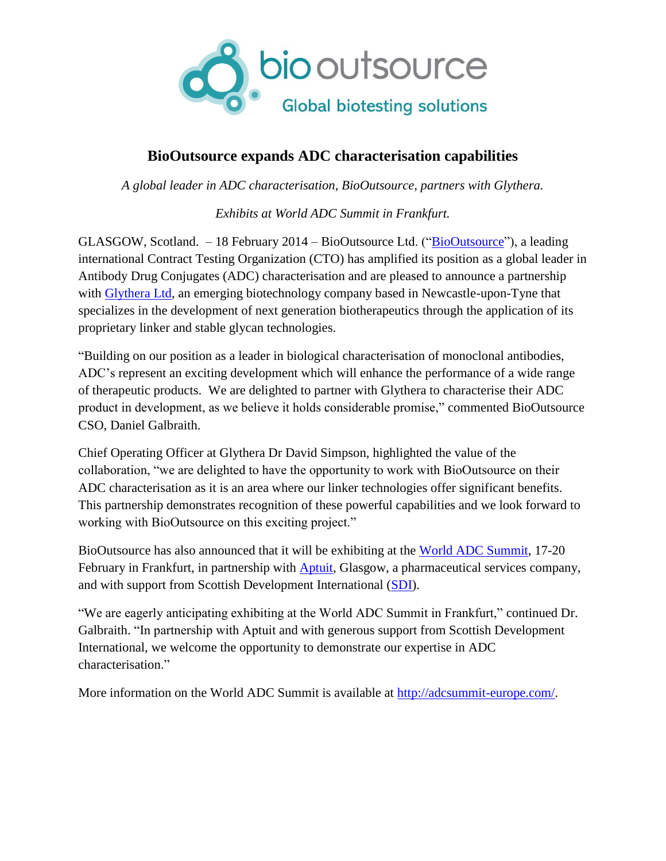

# **BioOutsource expands ADC characterisation capabilities**

*A global leader in ADC characterisation, BioOutsource, partners with Glythera.*

*Exhibits at World ADC Summit in Frankfurt.* 

GLASGOW, Scotland. – 18 February 2014 – BioOutsource Ltd. (["BioOutsource"](http://www.biooutsource.com/)), a leading international Contract Testing Organization (CTO) has amplified its position as a global leader in Antibody Drug Conjugates (ADC) characterisation and are pleased to announce a partnership with [Glythera Ltd,](http://www.glythera.com/home) an emerging biotechnology company based in Newcastle-upon-Tyne that specializes in the development of next generation biotherapeutics through the application of its proprietary linker and stable glycan technologies.

"Building on our position as a leader in biological characterisation of monoclonal antibodies, ADC's represent an exciting development which will enhance the performance of a wide range of therapeutic products. We are delighted to partner with Glythera to characterise their ADC product in development, as we believe it holds considerable promise," commented BioOutsource CSO, Daniel Galbraith.

Chief Operating Officer at Glythera Dr David Simpson, highlighted the value of the collaboration, "we are delighted to have the opportunity to work with BioOutsource on their ADC characterisation as it is an area where our linker technologies offer significant benefits. This partnership demonstrates recognition of these powerful capabilities and we look forward to working with BioOutsource on this exciting project."

BioOutsource has also announced that it will be exhibiting at the [World ADC Summit,](http://adcsummit-europe.com/) 17-20 February in Frankfurt, in partnership with [Aptuit,](http://www.aptuit.com/) Glasgow, a pharmaceutical services company, and with support from Scottish Development International [\(SDI\)](http://www.sdi.co.uk/).

"We are eagerly anticipating exhibiting at the World ADC Summit in Frankfurt," continued Dr. Galbraith. "In partnership with Aptuit and with generous support from Scottish Development International, we welcome the opportunity to demonstrate our expertise in ADC characterisation<sup>"</sup>

More information on the World ADC Summit is available at [http://adcsummit-europe.com/.](http://adcsummit-europe.com/)